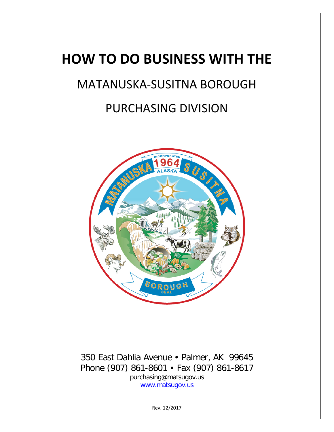# **HOW TO DO BUSINESS WITH THE**

## MATANUSKA-SUSITNA BOROUGH

## PURCHASING DIVISION



350 East Dahlia Avenue · Palmer, AK 99645 Phone (907) 861-8601 • Fax (907) 861-8617 purchasing@matsugov.us [www.matsugov.us](http://www.matsugov.us/)

Rev. 12/2017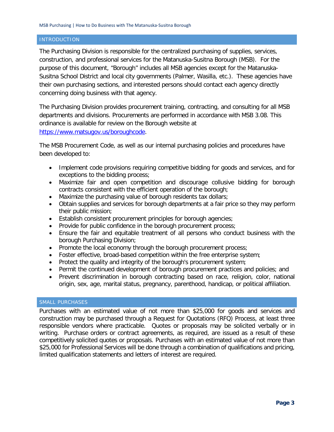## <span id="page-2-0"></span>INTRODUCTION

The Purchasing Division is responsible for the centralized purchasing of supplies, services, construction, and professional services for the Matanuska-Susitna Borough (MSB). For the purpose of this document, "Borough" includes all MSB agencies except for the Matanuska-Susitna School District and local city governments (Palmer, Wasilla, etc.). These agencies have their own purchasing sections, and interested persons should contact each agency directly concerning doing business with that agency.

The Purchasing Division provides procurement training, contracting, and consulting for all MSB departments and divisions. Procurements are performed in accordance with MSB 3.08. This ordinance is available for review on the Borough website at [https://www.matsugov.us/boroughcode.](https://www.matsugov.us/boroughcode)

The MSB Procurement Code, as well as our internal purchasing policies and procedures have been developed to:

- Implement code provisions requiring competitive bidding for goods and services, and for exceptions to the bidding process;
- Maximize fair and open competition and discourage collusive bidding for borough contracts consistent with the efficient operation of the borough;
- Maximize the purchasing value of borough residents tax dollars;
- Obtain supplies and services for borough departments at a fair price so they may perform their public mission;
- Establish consistent procurement principles for borough agencies;
- Provide for public confidence in the borough procurement process;
- Ensure the fair and equitable treatment of all persons who conduct business with the borough Purchasing Division;
- Promote the local economy through the borough procurement process;
- Foster effective, broad-based competition within the free enterprise system;
- Protect the quality and integrity of the borough's procurement system;
- Permit the continued development of borough procurement practices and policies; and
- Prevent discrimination in borough contracting based on race, religion, color, national origin, sex, age, marital status, pregnancy, parenthood, handicap, or political affiliation.

#### <span id="page-2-1"></span>SMALL PURCHASES

Purchases with an estimated value of not more than \$25,000 for goods and services and construction may be purchased through a Request for Quotations (RFQ) Process, at least three responsible vendors where practicable. Quotes or proposals may be solicited verbally or in writing. Purchase orders or contract agreements, as required, are issued as a result of these competitively solicited quotes or proposals. Purchases with an estimated value of not more than \$25,000 for Professional Services will be done through a combination of qualifications and pricing, limited qualification statements and letters of interest are required.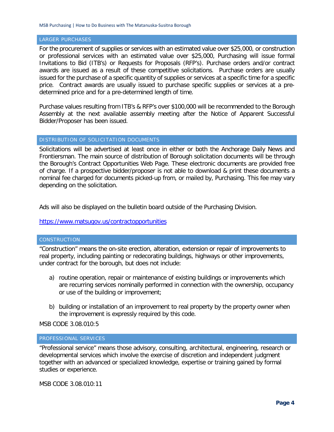#### MSB Purchasing | How to Do Business with The Matanuska-Susitna Borough

#### <span id="page-3-0"></span>LARGER PURCHASES

For the procurement of supplies or services with an estimated value over \$25,000, or construction or professional services with an estimated value over \$25,000, Purchasing will issue formal Invitations to Bid (ITB's) or Requests for Proposals (RFP's). Purchase orders and/or contract awards are issued as a result of these competitive solicitations. Purchase orders are usually issued for the purchase of a specific quantity of supplies or services at a specific time for a specific price. Contract awards are usually issued to purchase specific supplies or services at a predetermined price and for a pre-determined length of time.

Purchase values resulting from ITB's & RFP's over \$100,000 will be recommended to the Borough Assembly at the next available assembly meeting after the Notice of Apparent Successful Bidder/Proposer has been issued.

## <span id="page-3-1"></span>DISTRIBUTION OF SOLICITATION DOCUMENTS

Solicitations will be advertised at least once in either or both the Anchorage Daily News and Frontiersman. The main source of distribution of Borough solicitation documents will be through the Borough's Contract Opportunities Web Page. These electronic documents are provided free of charge. If a prospective bidder/proposer is not able to download & print these documents a nominal fee charged for documents picked-up from, or mailed by, Purchasing. This fee may vary depending on the solicitation.

Ads will also be displayed on the bulletin board outside of the Purchasing Division.

## <https://www.matsugov.us/contractopportunities>

## <span id="page-3-2"></span>**CONSTRUCTION**

"Construction" means the on-site erection, alteration, extension or repair of improvements to real property, including painting or redecorating buildings, highways or other improvements, under contract for the borough, but does not include:

- a) routine operation, repair or maintenance of existing buildings or improvements which are recurring services nominally performed in connection with the ownership, occupancy or use of the building or improvement;
- b) building or installation of an improvement to real property by the property owner when the improvement is expressly required by this code.

## MSB CODE 3.08.010:5

#### <span id="page-3-3"></span>PROFESSIONAL SERVICES

"Professional service" means those advisory, consulting, architectural, engineering, research or developmental services which involve the exercise of discretion and independent judgment together with an advanced or specialized knowledge, expertise or training gained by formal studies or experience.

MSB CODE 3.08.010:11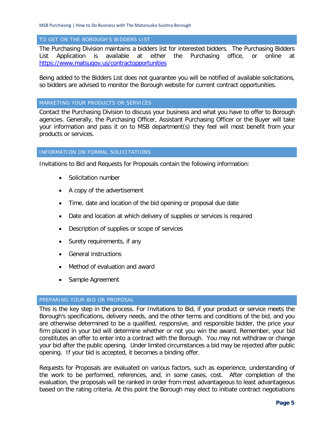### <span id="page-4-0"></span>TO GET ON THE BOROUGH'S BIDDERS LIST

The Purchasing Division maintains a bidders list for interested bidders. The Purchasing Bidders List Application is available at either the Purchasing office, or online at <https://www.matsugov.us/contractopportunities>

Being added to the Bidders List does not guarantee you will be notified of available solicitations, so bidders are advised to monitor the Borough website for current contract opportunities.

## <span id="page-4-1"></span>MARKETING YOUR PRODUCTS OR SERVICES

Contact the Purchasing Division to discuss your business and what you have to offer to Borough agencies. Generally, the Purchasing Officer, Assistant Purchasing Officer or the Buyer will take your information and pass it on to MSB department(s) they feel will most benefit from your products or services.

#### <span id="page-4-2"></span>INFORMATION ON FORMAL SOLICITATIONS

Invitations to Bid and Requests for Proposals contain the following information:

- Solicitation number
- A copy of the advertisement
- Time, date and location of the bid opening or proposal due date
- Date and location at which delivery of supplies or services is required
- Description of supplies or scope of services
- Surety requirements, if any
- General instructions
- Method of evaluation and award
- Sample Agreement

## <span id="page-4-3"></span>PREPARING YOUR BID OR PROPOSAL

This is the key step in the process. For Invitations to Bid, if your product or service meets the Borough's specifications, delivery needs, and the other terms and conditions of the bid, and you are otherwise determined to be a qualified, responsive, and responsible bidder, the price your firm placed in your bid will determine whether or not you win the award. Remember, your bid constitutes an offer to enter into a contract with the Borough. You may not withdraw or change your bid after the public opening. Under limited circumstances a bid may be rejected after public opening. If your bid is accepted, it becomes a binding offer.

Requests for Proposals are evaluated on various factors, such as experience, understanding of the work to be performed, references, and, in some cases, cost. After completion of the evaluation, the proposals will be ranked in order from most advantageous to least advantageous based on the rating criteria. At this point the Borough may elect to initiate contract negotiations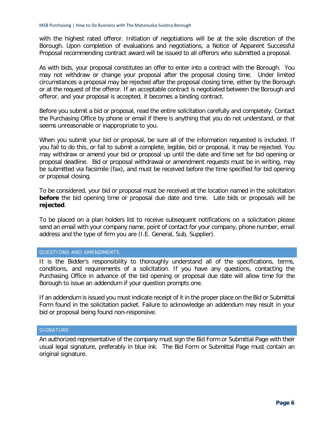with the highest rated offeror. Initiation of negotiations will be at the sole discretion of the Borough. Upon completion of evaluations and negotiations, a Notice of Apparent Successful Proposal recommending contract award will be issued to all offerors who submitted a proposal.

As with bids, your proposal constitutes an offer to enter into a contract with the Borough. You may not withdraw or change your proposal after the proposal closing time. Under limited circumstances a proposal may be rejected after the proposal closing time, either by the Borough or at the request of the offeror. If an acceptable contract is negotiated between the Borough and offeror, and your proposal is accepted, it becomes a binding contract.

Before you submit a bid or proposal, read the entire solicitation carefully and completely. Contact the Purchasing Office by phone or email if there is anything that you do not understand, or that seems unreasonable or inappropriate to you.

When you submit your bid or proposal, be sure all of the information requested is included. If you fail to do this, or fail to submit a complete, legible, bid or proposal, it may be rejected. You may withdraw or amend your bid or proposal up until the date and time set for bid opening or proposal deadline. Bid or proposal withdrawal or amendment requests must be in writing, may be submitted via facsimile (fax), and must be received before the time specified for bid opening or proposal closing.

To be considered, your bid or proposal must be received at the location named in the solicitation **before** the bid opening time or proposal due date and time. Late bids or proposals will be **rejected**.

To be placed on a plan holders list to receive subsequent notifications on a solicitation please send an email with your company name, point of contact for your company, phone number, email address and the type of firm you are (I.E. General, Sub, Supplier).

## <span id="page-5-0"></span>QUESTIONS AND AMENDMENTS

It is the Bidder's responsibility to thoroughly understand all of the specifications, terms, conditions, and requirements of a solicitation. If you have any questions, contacting the Purchasing Office in advance of the bid opening or proposal due date will allow time for the Borough to issue an addendum if your question prompts one.

If an addendum is issued you must indicate receipt of it in the proper place on the Bid or Submittal Form found in the solicitation packet. Failure to acknowledge an addendum may result in your bid or proposal being found non-responsive.

#### <span id="page-5-1"></span>SIGNATURE

An authorized representative of the company must sign the Bid Form or Submittal Page with their usual legal signature, preferably in blue ink. The Bid Form or Submittal Page must contain an original signature.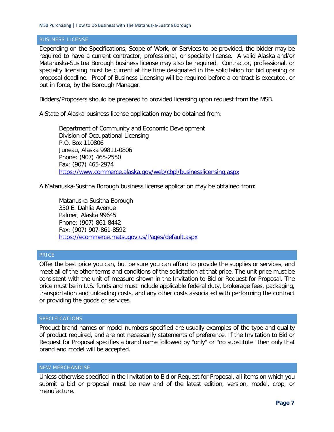#### <span id="page-6-0"></span>BUSINESS LICENSE

Depending on the Specifications, Scope of Work, or Services to be provided, the bidder may be required to have a current contractor, professional, or specialty license. A valid Alaska and/or Matanuska-Susitna Borough business license may also be required. Contractor, professional, or specialty licensing must be current at the time designated in the solicitation for bid opening or proposal deadline. Proof of Business Licensing will be required before a contract is executed, or put in force, by the Borough Manager.

Bidders/Proposers should be prepared to provided licensing upon request from the MSB.

A State of Alaska business license application may be obtained from:

Department of Community and Economic Development Division of Occupational Licensing P.O. Box 110806 Juneau, Alaska 99811-0806 Phone: (907) 465-2550 Fax: (907) 465-2974 <https://www.commerce.alaska.gov/web/cbpl/businesslicensing.aspx>

A Matanuska-Susitna Borough business license application may be obtained from:

Matanuska-Susitna Borough 350 E. Dahlia Avenue Palmer, Alaska 99645 Phone: (907) 861-8442 Fax: (907) 907-861-8592 <https://ecommerce.matsugov.us/Pages/default.aspx>

## <span id="page-6-1"></span>PRICE

Offer the best price you can, but be sure you can afford to provide the supplies or services, and meet all of the other terms and conditions of the solicitation at that price. The unit price must be consistent with the unit of measure shown in the Invitation to Bid or Request for Proposal. The price must be in U.S. funds and must include applicable federal duty, brokerage fees, packaging, transportation and unloading costs, and any other costs associated with performing the contract or providing the goods or services.

#### <span id="page-6-2"></span>SPECIFICATIONS

Product brand names or model numbers specified are usually examples of the type and quality of product required, and are not necessarily statements of preference. If the Invitation to Bid or Request for Proposal specifies a brand name followed by "only" or "no substitute" then only that brand and model will be accepted.

#### <span id="page-6-3"></span>NEW MERCHANDISE

Unless otherwise specified in the Invitation to Bid or Request for Proposal, all items on which you submit a bid or proposal must be new and of the latest edition, version, model, crop, or manufacture.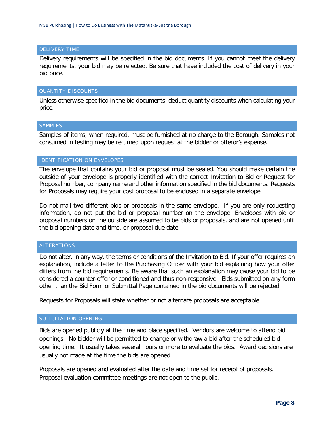#### <span id="page-7-0"></span>DELIVERY TIME

Delivery requirements will be specified in the bid documents. If you cannot meet the delivery requirements, your bid may be rejected. Be sure that have included the cost of delivery in your bid price.

#### <span id="page-7-1"></span>QUANTITY DISCOUNTS

Unless otherwise specified in the bid documents, deduct quantity discounts when calculating your price.

### <span id="page-7-2"></span>SAMPLES

Samples of items, when required, must be furnished at no charge to the Borough. Samples not consumed in testing may be returned upon request at the bidder or offeror's expense.

### <span id="page-7-3"></span>IDENTIFICATION ON ENVELOPES

The envelope that contains your bid or proposal must be sealed. You should make certain the outside of your envelope is properly identified with the correct Invitation to Bid or Request for Proposal number, company name and other information specified in the bid documents. Requests for Proposals may require your cost proposal to be enclosed in a separate envelope.

Do not mail two different bids or proposals in the same envelope. If you are only requesting information, do not put the bid or proposal number on the envelope. Envelopes with bid or proposal numbers on the outside are assumed to be bids or proposals, and are not opened until the bid opening date and time, or proposal due date.

#### <span id="page-7-4"></span>ALTERATIONS

Do not alter, in any way, the terms or conditions of the Invitation to Bid. If your offer requires an explanation, include a letter to the Purchasing Officer with your bid explaining how your offer differs from the bid requirements. Be aware that such an explanation may cause your bid to be considered a counter-offer or conditioned and thus non-responsive. Bids submitted on any form other than the Bid Form or Submittal Page contained in the bid documents will be rejected.

Requests for Proposals will state whether or not alternate proposals are acceptable.

#### <span id="page-7-5"></span>SOLICITATION OPENING

Bids are opened publicly at the time and place specified. Vendors are welcome to attend bid openings. No bidder will be permitted to change or withdraw a bid after the scheduled bid opening time. It usually takes several hours or more to evaluate the bids. Award decisions are usually not made at the time the bids are opened.

Proposals are opened and evaluated after the date and time set for receipt of proposals. Proposal evaluation committee meetings are not open to the public.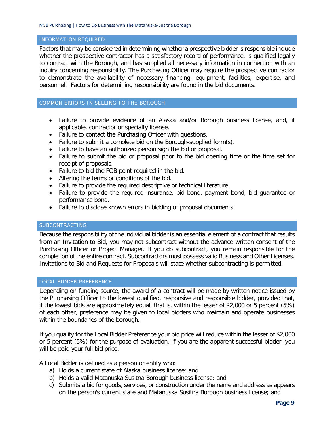#### <span id="page-8-0"></span>INFORMATION REQUIRED

Factors that may be considered in determining whether a prospective bidder is responsible include whether the prospective contractor has a satisfactory record of performance, is qualified legally to contract with the Borough, and has supplied all necessary information in connection with an inquiry concerning responsibility. The Purchasing Officer may require the prospective contractor to demonstrate the availability of necessary financing, equipment, facilities, expertise, and personnel. Factors for determining responsibility are found in the bid documents.

## <span id="page-8-1"></span>COMMON ERRORS IN SELLING TO THE BOROUGH

- Failure to provide evidence of an Alaska and/or Borough business license, and, if applicable, contractor or specialty license.
- Failure to contact the Purchasing Officer with questions.
- Failure to submit a complete bid on the Borough-supplied form(s).
- Failure to have an authorized person sign the bid or proposal.
- Failure to submit the bid or proposal prior to the bid opening time or the time set for receipt of proposals.
- Failure to bid the FOB point required in the bid.
- Altering the terms or conditions of the bid.
- Failure to provide the required descriptive or technical literature.
- Failure to provide the required insurance, bid bond, payment bond, bid guarantee or performance bond.
- Failure to disclose known errors in bidding of proposal documents.

### <span id="page-8-2"></span>**SUBCONTRACTING**

Because the responsibility of the individual bidder is an essential element of a contract that results from an Invitation to Bid, you may not subcontract without the advance written consent of the Purchasing Officer or Project Manager. If you do subcontract, you remain responsible for the completion of the entire contract. Subcontractors must possess valid Business and Other Licenses. Invitations to Bid and Requests for Proposals will state whether subcontracting is permitted.

#### <span id="page-8-3"></span>LOCAL BIDDER PREFERENCE

Depending on funding source, the award of a contract will be made by written notice issued by the Purchasing Officer to the lowest qualified, responsive and responsible bidder, provided that, if the lowest bids are approximately equal, that is, within the lesser of \$2,000 or 5 percent (5%) of each other, preference may be given to local bidders who maintain and operate businesses within the boundaries of the borough.

If you qualify for the Local Bidder Preference your bid price will reduce within the lesser of \$2,000 or 5 percent (5%) for the purpose of evaluation. If you are the apparent successful bidder, you will be paid your full bid price.

A Local Bidder is defined as a person or entity who:

- a) Holds a current state of Alaska business license; and
- b) Holds a valid Matanuska Susitna Borough business license; and
- c) Submits a bid for goods, services, or construction under the name and address as appears on the person's current state and Matanuska Susitna Borough business license; and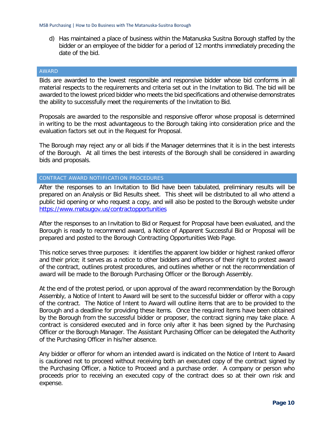d) Has maintained a place of business within the Matanuska Susitna Borough staffed by the bidder or an employee of the bidder for a period of 12 months immediately preceding the date of the bid.

#### <span id="page-9-0"></span>AWARD

Bids are awarded to the lowest responsible and responsive bidder whose bid conforms in all material respects to the requirements and criteria set out in the Invitation to Bid. The bid will be awarded to the lowest priced bidder who meets the bid specifications and otherwise demonstrates the ability to successfully meet the requirements of the Invitation to Bid.

Proposals are awarded to the responsible and responsive offeror whose proposal is determined in writing to be the most advantageous to the Borough taking into consideration price and the evaluation factors set out in the Request for Proposal.

The Borough may reject any or all bids if the Manager determines that it is in the best interests of the Borough. At all times the best interests of the Borough shall be considered in awarding bids and proposals.

#### <span id="page-9-1"></span>CONTRACT AWARD NOTIFICATION PROCEDURES

After the responses to an Invitation to Bid have been tabulated, preliminary results will be prepared on an Analysis or Bid Results sheet. This sheet will be distributed to all who attend a public bid opening or who request a copy, and will also be posted to the Borough website under <https://www.matsugov.us/contractopportunities>

After the responses to an Invitation to Bid or Request for Proposal have been evaluated, and the Borough is ready to recommend award, a Notice of Apparent Successful Bid or Proposal will be prepared and posted to the Borough Contracting Opportunities Web Page.

This notice serves three purposes: it identifies the apparent low bidder or highest ranked offeror and their price; it serves as a notice to other bidders and offerors of their right to protest award of the contract, outlines protest procedures, and outlines whether or not the recommendation of award will be made to the Borough Purchasing Officer or the Borough Assembly.

At the end of the protest period, or upon approval of the award recommendation by the Borough Assembly, a Notice of Intent to Award will be sent to the successful bidder or offeror with a copy of the contract. The Notice of Intent to Award will outline items that are to be provided to the Borough and a deadline for providing these items. Once the required items have been obtained by the Borough from the successful bidder or proposer, the contract signing may take place. A contract is considered executed and in force only after it has been signed by the Purchasing Officer or the Borough Manager. The Assistant Purchasing Officer can be delegated the Authority of the Purchasing Officer in his/her absence.

Any bidder or offeror for whom an intended award is indicated on the Notice of Intent to Award is cautioned not to proceed without receiving both an executed copy of the contract signed by the Purchasing Officer, a Notice to Proceed and a purchase order. A company or person who proceeds prior to receiving an executed copy of the contract does so at their own risk and expense.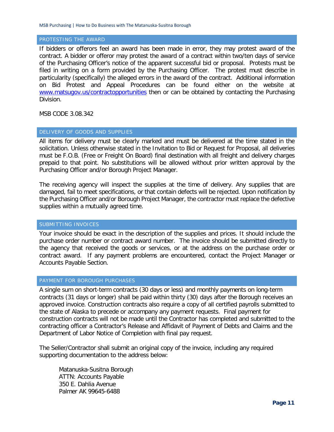#### <span id="page-10-0"></span>PROTESTING THE AWARD

If bidders or offerors feel an award has been made in error, they may protest award of the contract. A bidder or offeror may protest the award of a contract within two/ten days of service of the Purchasing Officer's notice of the apparent successful bid or proposal. Protests must be filed in writing on a form provided by the Purchasing Officer. The protest must describe in particularity (specifically) the alleged errors in the award of the contract. Additional information on Bid Protest and Appeal Procedures can be found either on the website at [www.matsugov.us/contractopportunities](http://www.matsugov.us/contractopportunities) then or can be obtained by contacting the Purchasing Division.

MSB CODE 3.08.342

## <span id="page-10-1"></span>DELIVERY OF GOODS AND SUPPLIES

All items for delivery must be clearly marked and must be delivered at the time stated in the solicitation. Unless otherwise stated in the Invitation to Bid or Request for Proposal, all deliveries must be F.O.B. (Free or Freight On Board) final destination with all freight and delivery charges prepaid to that point. No substitutions will be allowed without prior written approval by the Purchasing Officer and/or Borough Project Manager.

The receiving agency will inspect the supplies at the time of delivery. Any supplies that are damaged, fail to meet specifications, or that contain defects will be rejected. Upon notification by the Purchasing Officer and/or Borough Project Manager, the contractor must replace the defective supplies within a mutually agreed time.

## <span id="page-10-2"></span>SUBMITTING INVOICES

Your invoice should be exact in the description of the supplies and prices. It should include the purchase order number or contract award number. The invoice should be submitted directly to the agency that received the goods or services, or at the address on the purchase order or contract award. If any payment problems are encountered, contact the Project Manager or Accounts Payable Section.

## <span id="page-10-3"></span>PAYMENT FOR BOROUGH PURCHASES

A single sum on short-term contracts (30 days or less) and monthly payments on long-term contracts (31 days or longer) shall be paid within thirty (30) days after the Borough receives an approved invoice. Construction contracts also require a copy of all certified payrolls submitted to the state of Alaska to precede or accompany any payment requests. Final payment for construction contracts will not be made until the Contractor has completed and submitted to the contracting officer a Contractor's Release and Affidavit of Payment of Debts and Claims and the Department of Labor Notice of Completion with final pay request.

The Seller/Contractor shall submit an original copy of the invoice, including any required supporting documentation to the address below:

Matanuska-Susitna Borough ATTN: Accounts Payable 350 E. Dahlia Avenue Palmer AK 99645-6488